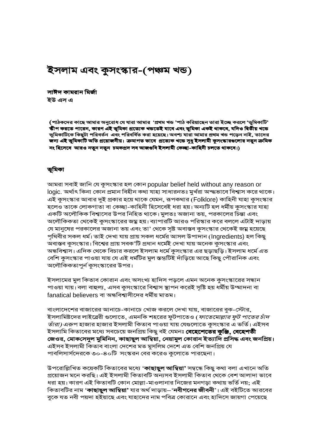# ইসলাম এবং কুসংস্কার-(পঞ্চম খন্ড)

সাঈদ কামরান মির্জা ইউ এস এ

(পাঠকদের কাছে আমার অনুরোধ যে যারা আমার 'প্রথম খন্ড 'পাঠ করিয়াছেন তারা ইচ্ছে করলে 'ভূমিকাটি' স্কীপ করতে পারেন, কারণ এই ভূমিকা প্রত্যেক খন্ডতেই যাবে এবং ভূমিকা একই থাকবে, যদিও দ্বিতীয় খন্ডে ভূমিকাটিকে কিছুটা পরিবর্তন এবং পরিবর্ধিত করা হয়েছে। অবশ্য যারা আমার প্রথম খন্ড পড়েন নাই, তাদের জন্য এই ভূমিকাটি অতি প্রয়োজনীয়। ক্রমাগত ভাবে প্রত্যেক খডে সুধু ইসলামী কুসংস্কারগুলোর নতুন ক্রমিক নং হিসেবে আরও নতুন নতুন চমকপ্রদ সব আজগুবি ইসলামী কেচ্ছা-কাহিনী চলতে থাকবে।)

#### ভূমিকা

আমরা সবাই জানি যে কুসংস্কার হল কোন popular belief held without any reason or logic. অর্থাৎ কিনা কোন প্রমান বিহীন কথা যাহা সাধারনতঃ মুর্খরা অন্দ্ধভাবে বিশ্বাস করে থাকে। এই কুসংস্কার আবার দুই প্রকার হয়ে থাকে যেমন, রূপকথার (Folklore) কাহিনী যাহা কুসংস্কার হলেও তাকে লোকগাতা বা কেচ্ছা-কাহিনী হিসেবেই ধরা হয়। অন্যটি হল ধর্মীয় কুসংস্কার যাহা একটি অলৌকিক বিশ্বাসের উপর নিহিত থাকে। মুলতঃ অজানা ভয়, পরকালের চিন্তা এবং অলৌকিকতা থেকেই কুসংস্কারের জম্ন হয়। ব্যাপারটি আরও পরিস্কার করে বললে এটাই দাড়ায় যে মানুষের পরকালের অজানা ভয় এবং তা' থেকে সৃষ্ট অবাস্তব কুসংস্কার থেকেই জয়্ন হয়েছে পৃথিবীর সকল ধর্ম। তাই দেখা যায় প্রায় সকল ধর্মের আসল উপাদান (Ingredients) হল কিছু অবাস্তব কুসংস্কার। বিশ্বের প্রায় সবক'টি প্রধান ধর্মেই দেখা যায় অনেক কুসংস্কার এবং অন্ধবিশ্বাস। এদিক থেকে বিচার করলে ইসলাম ধর্মে কুসংস্কার এর ছড়াছড়ি। ইসলাম ধর্মে এত বেশি কুসংস্কার পাওয়া যায় যে এই ধর্মটির মুল স্তন্ডটিই দাঁড়িয়ে আছে কিছু পৌরানিক এবং অলৌকিকতাপুর্ন কুসংস্কারের উপর।

ইসলামের মুল কিতাব কোরান এবং অসংখ্য হাদিস পড়লে এমন অনেক কুসংস্কারের সন্ধান পাওয়া যায়। বলা বাহুল্য, এসব কুসংস্কারে বিশ্বাস স্থাপন করেই সৃষ্টি হয় ধর্মীয় উম্মাদনা বা fanatical believers বা অন্ধবিশ্বাসীদের ধর্মীয় মাতম।

বাংলাদেশের বাজারের আনাচে-কানাচে খোজ করলে দেখা যায়, বাজারের বুক-স্টোর, ইসলামিষ্টদের লাইব্রেরী গুলোতে, এমনকি শহরের ফুটপাতেও (*ফাতেমোল্লার ফুট পাতের চাঁদ তাঁরা)* এরুপ হাজার হাজার ইসলামী কিতাব পাওয়া যায় যেগুলোতে কুসংস্কার এ ভর্তি। এইসব ইসলামি কিতাবের মধ্যে সবচেয়ে জনপ্রিয় কিছু বই যেমনঃ **বেহেশেতের কুঞ্জি, বেহেশতী** জেওর, মোকসেদুল মুমিনিন, কাছাছুল আম্বিয়া, নেয়ামুল কোরান ইত্যাদি প্রসিদ্ধ এবং জনপ্রিয়। এইসব ইসলামী কিতাব বাংলা দেশের মত মুসলিম দেশে এত বেশি জনপ্রিয় যে পাবলিসার্সদেরকে ৩০-৪০টি সংস্করন বের করেও কুলোতে পারছেনা।

উপরোল্লিখিত কয়েকটি কিতাবের মধ্যে '**কাছাছুল আম্বিয়া'** সম্বন্ধে কিছু কথা বলা এখানে অতি প্রয়োজন মনে করছি। এই ইসলামী কিতাবটি অন্যসব ইসলামী কিতাব থেকে বেশ আলাদা ভাবে ধরা হয়। কারণ এই কিতাবটি কোন মোল্লা-মাওলানার নিজের মনগড়া কথায় ভর্তি নয়; এই কিতাবটির নাম '**কাছাছুল আম্বিয়া'** যার অর্থ দাড়ায়–'**নবীগনের জীবনী**'। এই বইটিতে আরবের বুকে যত নবী পয়দা হইয়াছে এবং যাহাদের নাম পবিত্র কোরানে এবং হাদিসে জায়গা পেয়েছে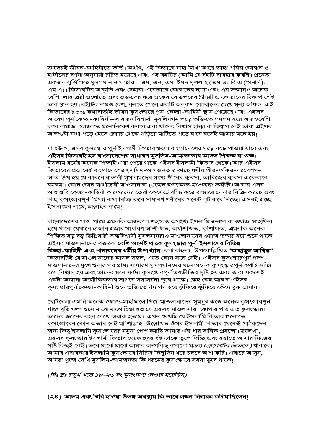তাদেরই জীবন-কাহিনীতে ভর্তি। অর্থাৎ, এই কিতাবে যাহা লিখা আছে তাহা পবিত্র কোরান ও হাদীসের বর্ণনা অনুযায়ী রচিত হয়েছে এবং এই বইটির (আমি যে বইটি ব্যবহার করছি) প্রনেতা একজন সুশিক্ষিত মুসলমান নাম তার– এম, এন, এম ইমদাদুললাহ (এম এ; বি এ (অনার্স); এম এ)। কিতাবটির আকৃতি এবং চেহারা একেবারে কোরানের ন্যায় এবং এর সম্মানও অনেক বেশি। লাইব্রেরী গুলোতে এবং ভক্তদের ঘরে একেবারে উপরের Shelf এ কোরানের ঠিক পাশেই তার স্থান হয়। বইটির দামও বেশ, বলতে গেলে একটি অনুবাদ কোরানের চেয়ে মুল্য অধিক। এই কিতাবের ৯০% কথাবার্তাই ভীষন কুসংস্কারে পুর্ন কেচ্ছা-কাহিনী স্থান পেয়েছে এবং এইসব আবেগ পুর্ন কেচ্ছা-কাহিনী–সাধারন বিশ্বাসী মুসলিমগন পড়ে ভক্তিতে গদগদ হয়ে আরওবেশি করে নামাজ-রোজাতে মনোনিবেশ করবে এবং যাদের বিশ্বাস হান্ধা বা বিশ্বাস নেই তারা এইসব আজগুবী কথা পড়ে হেসে চেয়ার থেকে গড়িয়ে মাটিতে পড়ে যাবে বলেই আমার মনে হয়!

যা হউক, এসব কুসংস্কার পুর্ন ইসলামী কিতাব গুলো বাংলাদেশের ঘড়ে ঘড়ে পাওয়া যাবে এবং এইসব কিতাবই হল বাংলাদেশের সাধারণ মুসলিম-আমজনতার আসল শিক্ষক বা গুরু। ইসলাম ধর্মের অনেক শিক্ষাই এরা পেয়ে থাকে এইসব ইসলামী কিতাব থেকে। আর এইসব কিতাবের প্রভাবেই বাংলাদেশের মুসলিম-আমজনতার কাছে ধর্মীয় পীর-ফকির-দরবেশগন অতি প্রিয় হয় যে কারনে বাঙ্গালী মুসলিমদের মধ্যে পীরের ব্যবসা, তাবিজের ব্যবসা একেবারে রমরমা। কোন কোন স্বার্থান্বেষী মাওলানারা (*যেমন রাজাকার-মাওলানা সাঈদী)* আবার এসব আজগুবি কেচ্ছা-কাহিনী কাফেরদের তৈরী কেসেটে বন্দ্ধি করে বাজারে দেদার বিক্রি করছে এবং কিছু কুসংস্কারপুর্ন মিথ্যা কথা বিক্রি করে সাধারণ গরীবের পকেট লুট করে নিচ্ছে। এসবই হচ্ছে ইসলামের নামে,আল্লাহর নামে!

বাংলাদেশের গাও-গ্রামে এমনকি আজকাল শহরেও অসংখ্য ইসলামি জলসা বা ওয়াজ-মাহফিল হয়ে থাকে যেখানে হাজার হজার সাধারণ অশিক্ষিত, অর্ধশিক্ষিত, কুশিক্ষিত, এমনকি অনেক শিক্ষিত বড় বড় ডিগ্রিধারী অন্ধবিশ্বাসী মুসলমানরাও মাওলানাদের ওয়াজ তম্ময় হয়ে শুনে থাকে। এইসব মাওলানাদের বক্তব্যে **বেশি অংশই থাকে কুসংস্কার পুর্ন ইসলামের বিভিন্ন** কিচ্ছা-কাহিনী এবং নানারঙ্গের ধর্মীয় উপাখ্যান। বলা বাহুল্য, উপরোল্লিখিত 'কাছাছুল আম্বিয়া' কিতাবটিই যে মাওলানাদের আসল সম্বল, এতে কোন সন্ধে নেই। এইসব কুসংস্কারপুর্ন গন্প মাওলানাদের মুখে শুনার পর গ্রাম্য সাধারণ মুসলমানদের মনে অনেক কুসংস্কারপুর্ন কথাই সত্যি বলে বিশ্বাস হয় এবং তাদের মনে সর্বদা কুসংস্কারপুর্ন ভয়ভীতির সৃষ্টি হয় এবং তারা সকলেই একটা অজানা অলৌকিকতার সাগরে সদাসর্বদা ডুবে থাকে। কেহ কেহ আবার এইসব কুসংস্কারপুর্ন কেচ্ছা-কাহিনী শুনে ভক্তিতে গদ গদ হয়ে ফুঁফিয়ে ফুঁফিয়ে কেঁদে বুক ভাষায়।

ছোটবেলা এমনি অনেক ওয়াজ-মাহফিলে গিয়ে মাওলানাদের সুমধুর কঠে অনেক কুসংস্কারপুর্ন গাজাখুরি গল্প শুনে মাঝে মাঝে চিন্তা হত যে এইসব মাওলানারা কোথায় পায় এত কুসংস্কার। তাদের জ্ঞানের বহর দেখে অবাক হতাম। এখন দেখছি যে ইসলামি কিতাব গুলোতে কুসংস্কারের কোন অভাব নেই মা'শাল্লাহ। উল্লেখিত ঔসব ইসলামী কিতাব থেকেই পাঠকদের জন্য কিছু ইসলামি কুসংস্কারের নমুনা পেশ করছি আমার এই ধারাবাহিক প্রবন্দ্ধে। উল্লেখ্য, এইসব কুসংস্কার ইসলামী কিতাব থেকে হুবুহ বই থেকে তুলে দিচ্ছি এবং ইহাতে আমার নিজের সৃষ্টি কিছুই নেই। তবে মাঝে মাঝে আমার অল্পকিছু রসালো মন্তব্য (*ব্রাকেটের ভিতরে )* থাকবে। আমার এবারকার ইসলামি কুসংস্কারে সিরিজ কিছুদিন ধরে চলবে আশ করি। এবারে আসুন, আমরা খুজে দেখি মুসলিম-আমজনতা কি ধরনের কুসংস্কারে সর্বদা ডুবে থাকে!

(বিঃ দ্রঃ চতুর্থ খন্ডে ১৮-২৩ নং কুসংস্কার দেওয়া হয়েছিল)

#### (২৪) <u>আদম এবং বিবি হাওয়া উলঙ্গ অবস্থায় কি ভাবে লজ্জা নিবারন করিয়াছিলেন।</u>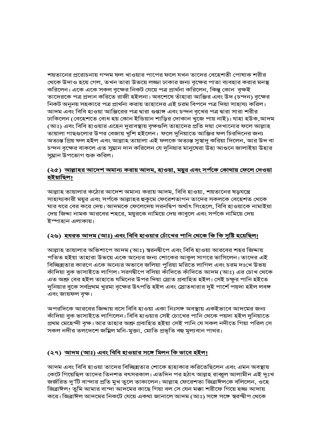শয়তানের প্ররোচনায় গন্দম ফল খাওয়ার পাপের ফলে যখন তাদের বেহেশতী পোষাক শরীর থেকে উদাও হয়ে গেল, তখন তারা উভয়ে লজ্জা ঢাকার জন্য বৃক্ষের পাতা ব্যবহার করার মনস্থ করিলেন। একে একে সকল বৃক্ষের নিকট যেয়ে পত্র প্রার্থনা করিলেন, কিন্তু কোন বৃক্ষই তাদেরকে পত্র প্রদান করিতে রাজী হইলনা। অবশেষে তাঁহারা আঞ্জির এবং উদ (চন্দন) বৃক্ষের নিকট অনুনয় সহকারে পত্র প্রার্থনা করায় তাহাদের এই চরম বিপদে পত্র দিয়া সাহায্য করিল। আদম এবং বিবি হাওয়া আঞ্জিরের পত্র দ্বারা গুপ্তাঙ্গ এবং চন্দন বৃখের পত্র দ্বারা সারা শরীর ঢাকিলেন (বেহেশতে বোধ হয় কোন ইন্ডিয়ান শাড়ির দোকান খুজে পায় নাই)। যাহা হউক,আদম (আঃ) এবং বিবি হাওয়ার এহেন দুরাবস্থায় বৃক্ষগুলি তাহাদের প্রতি দয়া দেখানোর ফলে আল্লাহ তায়ালা গাছগুলোর উপর বেজায় খুশি হইলেন। ফলে দুনিয়াতে আঞ্জির ফল চিরদিনের জন্য অত্যন্ত প্রিয় ফল হইল এবং আল্লাহ তায়ালা এই ফলকে অত্যন্ত সুস্বাদু করিয়া দিলেন, আর উদ বা চন্দন বৃক্ষের বাকলে এত সুঘ্রান দান করিলেন যে দুনিয়ার মানুষেরা উহা আগুনে জালাইয়া উহার সুঘ্রান উপভোগ শুরু করিল।

### (২৫) <u>আল্লাহর আদেশ অমান্য করায় আদম, হাওয়া, ময়ুর এবং সর্পকে কোথায় ফেলে দেওয়া</u> <u>হইয়াছিল।</u>

আল্লাহ তায়ালার কঠোর আদেশ অমান্য করায় আদম, বিবি হাওয়া, শয়তানের ষড়যন্ত্রে সাহায্যকারী ময়ুর এবং সর্পকে আল্লাহর হুকুমে ফেরেশতাগন তাদের সকলকে বেহেশত থেকে ঘার ধরে বের করে দেয়। আদমকে ফেলেদেয় সরনদ্বিপ অর্থাৎ সিংহলে, বিবি হাওয়াকে নামাইয়া দেয় জিদ্দা নামক আরবের শহরে, ময়ুরকে নামিয়ে দেয় কাবুলে এবং সর্পকে নামিয়ে দেয় ইস্পাহান এলাকায়।

# <u>(২৬) হযরত আদম (আঃ) এবং বিবি হাওয়ার চোঁখের পানি থেকে কি কি সৃষ্টি হয়েছিল।</u>

আল্লাহ তায়ালার অভিশাপে আদম (আঃ) স্বরনদ্বীপে এবং বিবি হাওয়া আরবের শহর জিদ্দায় পতিত হইয়া তাহারা উভয়ে একে অন্যের জন্য শোকের আকুল সাগরে ভাসিলেন। তাদের এই বিচ্ছিন্নতার কারণে একে অন্যের অভাবে জলিয়া পুরিয়া মরিতে লাগিল এবং চরম দঃখে উভয় কাঁদিয়া বুক ভাসাইতে লাগিল। সরণদ্বীপে বসিয়া কাঁদিতে কাঁদিতে আদম (আঃ) এর চোখ থেকে এত অশ্রু বের হইল তাহাতে যমিনের উপর দিয়া স্লোত প্রবাহিত হইল। সেই চক্ষুর পানি হইতে দুনিয়ার বুকে সর্বপ্রথম খুরমা বৃক্ষের উৎপত্তি হইল এবং স্রোতধারার দুই পার্শে পয়দা হইল লবঙ্গ এবং জায়ফল বৃক্ষ।

অপরদিকে আরবের জিদ্দায় বসে বিবি হাওয়া একা নিঃসঙ্গ অবস্তায় একইভাবে আদমের জন্য কাঁদিয়া বুক ভাসাইতে লাগিলেন। বিবি হাওয়ার সেই চোখের পানি থেকে পয়দা হইল দুনিয়াতে প্রথম মেহেন্দী বৃক্ষ।আর তাহার অশ্রু প্রবাহিত হইয়া সেই পানি যে সকল নদীতে গিয়া পরিল সে সকল নদীর তলদেশে জম্মিল মনি-মুক্তা, মোতি প্রভৃতি বহু মুল্যবান পাথর।

## <u>(২৭) আদম (আঃ) এবং বিবি হাওয়ার সঙ্গে মিলন কি ভাবে হইল।</u>

আদম এবং বিবি হাওয়া তাদের বিচ্ছিন্নতার শোকে হাহাকার করিতেছিলেন এবং এমন অবস্থায় কেটে গিয়েছিল তাদের তিনশত বৎসরকাল। এতদিন পর হঠাৎ আল্লহ রাব্বুল আলামীন এই দুঃখ জর্জরিত দু'টি বান্দার প্রতি মুখ তুলে তাকালেন।আল্লাহ ফেরেশতা জিব্রাঈলকে বলিলেন, ওহে জিব্রাঈল! তুমি আমার বান্দা আদমের কাছে গিয়া বল সে যেন মক্কা শরীফে গিয়ে হজ্জ আদায় করে। জিব্রাঈল আদমের নিকটে যেয়ে একথা জানালে আদম (আঃ) সঙ্গে সঙ্গে স্বরন্দ্বীপ থেকে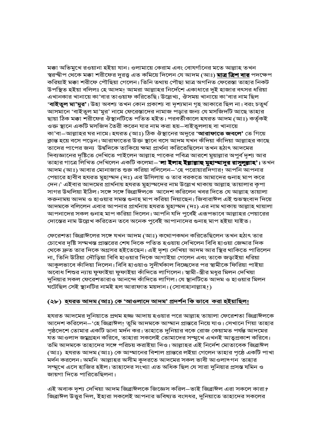মক্কা অভিমুখে রওয়ানা হইয়া যান। ওলামায়ে কেরাম এবং বোযর্গানের মতে আল্লাহ তখন স্বরন্দ্বীপ থেকে মক্কা শরীফের দুরত্ত্ব এত কমিয়ে দিলেন যে আদম (আঃ) <mark>মাত্র ত্রিশ বার</mark> পদক্ষেপ করিয়াই মক্কা শরীফে পৌছিয়া গেলেন। তিনি তথায় পৌছা মাত্র অগনিত ফেরেস্তা তাহার নিকট উপস্থিত হইয়া বলিলঃ হে আদম! আমরা আল্লাহর নির্দেশে একাধারে দুই হাজার বৎসর ধরিয়া এখানকার খানায়ে কা'বার তাওয়াফ করিতেছি। উল্লেখ্য, ঔসময় খানায়ে কা'বার নাম ছিল '**বাইতুল মা'মুর'**। উহা অবশ্য তখন কোন প্রকাশ্য বা দৃশ্যমান গৃহ আকারে ছিল না। বরং চতুর্থ আসমানে 'বাইতুল মা'মুর' নামে ফেরেস্তাদের নামাজ পড়ার জন্য যে মসজিদটি আছে তাহার ছায়া ঠিক মক্কা শরীফের ঔস্থানটিতে পতিত হইত। পরবর্তীকালে হযরত আদম (আঃ) কর্তৃকই ওক্ত স্থানে একটি মসজিদ তৈরী করেন যার নাম করা হয়–বাইতুললাহ বা খানায়ে কা'বা–আল্লাহর ঘর নামে। হযরত (আঃ) ঠিক ঔস্থানের অদুরে '**আরাফাতে জবলে'** তে গিয়ে ক্লান্ত হয়ে বসে পড়েন। আরাফাতের উক্ত স্থানে বসে আদম যখন কঁদিয়া কাঁদিয়া আল্লাহর কাছে তাদের পাপের জন্য উর্ঘদিকে তাকিয়ে ক্ষমা প্রার্থনা করিতেছিলেন তখন হঠাৎ আদমের দিব্যজ্ঞানের দৃষ্টিতে দেখিতে পাইলেন আল্লাহ পাকের পবিত্র আরশে মুয়াল্লার অপুর্ব দৃশ্য আর তাহার গাত্রে লিখিত দেখিলেন একটি কলেমা–'**লা ইলাহ ইল্লাল্লাহু মুহাম্মাদুর রাসুলুল্লাহ'।** তখন আদম (আঃ) আবার মোনাজাত শুরু করিয়া বলিলেন–'হে পরোয়ারদিগার! আপনি আপনার পেয়ারে হাবীব হযরত মুহাম্মদ (দঃ) এর উসিলায় ও তার বরকতে আমাদের গুনাহ মাপ করে দেন।' এইবার আদমের প্রার্থনায় হযরত মুহাম্মদের নাম উল্লেখ থাকায় আল্লাহ তায়ালার কৃপা সাগর উথলিয়া ইঠিল। সঙ্গে সঙ্গে জিব্রাঈলকে আদেশ করিলেন খবর দিতে যে আল্লাহ তায়ালা করুনাময় আদম ও হাওয়ার সমস্ত গুনাহ মাপ করিয়া দিয়াছেন। জিবারাঈল এই শুভস্বংবাদ দিয়ে আদমকে বলিলেন এবার আপনার প্রার্থনায় হযরত মুহাম্মদ (দঃ) এর নাম থাকায় আল্লাহ থায়ালা আপনাদের সকল গুনাহ মাপ করিয়া দিলেন। আপনি যদি পুর্বেই এরূপভাবে আল্লাহর পেয়ারের দোস্তের নাম উল্লেখ করিতেন তবে অনেক পুর্বেই আপানাদের গুনাহ মাপ হইয়া যাইত।

ফেরেশতা জিব্রাঈলের সঙ্গে যখন আদম (আঃ) কথোপকথন করিতেছিলেন তখন হঠাৎ তার চোখের দৃষ্টি সম্মখস্ত প্রান্তরের শেষ দিকে পতিত হওয়ায় দেখিলেন বিবি হাওয়া জেদ্দার দিক থেকে দ্রুত তার দিকে অগ্রসর হইতেছেন। এই দৃশ্য দেখিয়া আদম আর স্থির থাকিতে পারিলেন না, তিনি উঠিয়া দৌড়িয়া বিবি হাওয়ার দিকে আগাইয়া গেলেন এবং তাকে জড়াইয়া ধরিয়া আকুলভাবে কাঁদিয়া দিলেন। বিবি হাওয়াও সুদীর্ঘকাল বিচ্ছেদের পর স্বামীকে ফিরিয়া পাইয়া অবোধ শিশুর ন্যায় ফুফাইয়া ফুফাইয়া কাঁদিতে লাগিলেন। স্বামী-স্ত্রীর মধুর মিলন দেখিয়া দুনিয়ার সকল ফেরেশতারাও আনন্দে কাঁদিতে লাগিল। যে স্থানটিতে আদম ও হাওয়ার মিলন ঘটেছিল সেই স্থানটির নামই হল আরাফাত ময়দান। (সোবাহানাল্লাহ!)

## (২৮) <u>হযরত আদম (আঃ) কে 'আওলাদে আদম' প্রদর্শন কি ভাবে করা হইয়াছিল।</u>

হযরত আদমের দুনিয়াতে প্রথম হজ্জ আদায় হওয়ার পরে আল্লাহ তায়ালা ফেরেশতা জিব্রাঈলকে আদেশ করিলেন–'হে জিব্রাঈল! তুমি আদমকে আম্মান প্রান্তরে নিয়ে যাও। সেখানে গিয়া তাহার পৃষ্ঠদেশে তোমার একটি ডানা মর্দন কর। তাহাতে দুনিয়ার বকে রোজ কেয়ামত পর্যন্ত আদমের যত আওলাদ জম্নগ্রহন করিবে, তাহারা সকলেই তোমাদের সম্মুখে এখনই আত্বপ্রকাশ করিবে। তমি আদমকে তাহাদের সঙ্গে পরিচয় করাইয়া দিও। আল্লাহর এই নির্দেশ মোতাবেক জিব্রাঈল (আঃ) হযরত আদম (আঃ) কে আম্মানের বিশাল প্রান্তরে লইয়া গেলেন তাহার পৃষ্ঠে একটি পাখা মর্দন করলেন। অমনি আল্লাহর অসীম কুদরতে আদমের সকল ভাবী আওলাদগন তাহার সম্মূখে এসে হাজির হইল। তাহাদের সংখ্যা এত অধিক ছিল যে সারা দুনিয়ার প্রসস্ত যমিন ও জায়গা দিতে পারিতেছিলনা।

এই অবাক দৃশ্য দেখিয়া আদম জিব্রাঈলকে জিজ্ঞেস করিল–ভাই জিব্রাঈল এরা সকলে কারা? জিব্রাঈল উত্তুর দিল, ইহারা সকলেই আপনার ভবিষ্যত বংসধর, দুনিয়াতে তাহাদের সকলের